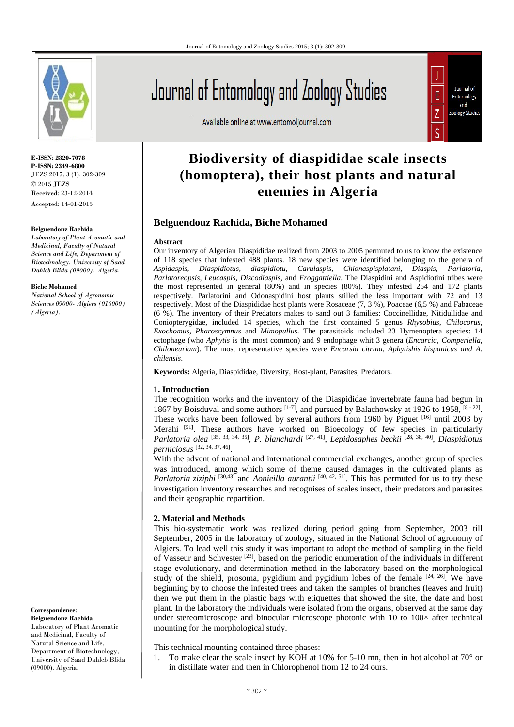

**E-ISSN: 2320-7078 P-ISSN: 2349-6800** JEZS 2015; 3 (1): 302-309  $\odot$  2015 JEZS Received: 23-12-2014 Accepted: 14-01-2015

#### **Belguendouz Rachida**

*Laboratory of Plant Aromatic and Medicinal, Faculty of Natural Science and Life, Department of Biotechnology, University of Saad Dahleb Blida (09000). Algeria.*

#### **Biche Mohamed**

*National School of Agronomic Sciences 09000- Algiers (016000) (Algeria).* 

**Correspondence**:

**Belguendouz Rachida**  Laboratory of Plant Aromatic and Medicinal, Faculty of Natural Science and Life, Department of Biotechnology, University of Saad Dahleb Blida (09000). Algeria.

# Journal of Entomology and Zoology Studies

Available online at www.entomoljournal.com

# **Biodiversity of diaspididae scale insects (homoptera), their host plants and natural enemies in Algeria**

Journal of Entomology and Zoology Studies

# **Belguendouz Rachida, Biche Mohamed**

## **Abstract**

Our inventory of Algerian Diaspididae realized from 2003 to 2005 permuted to us to know the existence of 118 species that infested 488 plants. 18 new species were identified belonging to the genera of *Aspidaspis, Diaspidiotus, diaspidiotu, Carulaspis, Chionaspisplatani, Diaspis, Parlatoria, Parlatoreopsis, Leucaspis, Discodiaspis,* and *Froggattiella*. The Diaspidini and Aspidiotini tribes were the most represented in general (80%) and in species (80%). They infested 254 and 172 plants respectively. Parlatorini and Odonaspidini host plants stilled the less important with 72 and 13 respectively. Most of the Diaspididae host plants were Rosaceae (7, 3 %), Poaceae (6,5 %) and Fabaceae (6 %). The inventory of their Predators makes to sand out 3 families: Coccinellidae, Nitidullidae and Coniopterygidae, included 14 species, which the first contained 5 genus *Rhysobius, Chilocorus, Exochomus, Pharoscymnus* and *Mimopullus.* The parasitoids included 23 Hymenoptera species: 14 ectophage (who *Aphytis* is the most common) and 9 endophage whit 3 genera (*Encarcia, Comperiella, Chiloneurium*). The most representative species were *Encarsia citrina, Aphytishis hispanicus and A. chilensis*.

**Keywords:** Algeria, Diaspididae, Diversity, Host-plant, Parasites, Predators.

# **1. Introduction**

The recognition works and the inventory of the Diaspididae invertebrate fauna had begun in 1867 by Boisduval and some authors  $[1-7]$ , and pursued by Balachowsky at 1926 to 1958,  $[8-22]$ . These works have been followed by several authors from 1960 by Piguet [16] until 2003 by Merahi <sup>[51]</sup>. These authors have worked on Bioecology of few species in particularly *Parlatoria olea* [35, 33, 34, 35], *P. blanchardi* [27, 41], *Lepidosaphes beckii* [28, 38, 40], *Diaspidiotus perniciosus* [32, 34, 37, 46].

With the advent of national and international commercial exchanges, another group of species was introduced, among which some of theme caused damages in the cultivated plants as *Parlatoria ziziphi* <sup>[30,43]</sup> and *Aonieilla aurantii* <sup>[40, 42, 51]. This has permuted for us to try these</sup> investigation inventory researches and recognises of scales insect, their predators and parasites and their geographic repartition.

# **2. Material and Methods**

This bio-systematic work was realized during period going from September, 2003 till September, 2005 in the laboratory of zoology, situated in the National School of agronomy of Algiers. To lead well this study it was important to adopt the method of sampling in the field of Vasseur and Schvester [23], based on the periodic enumeration of the individuals in different stage evolutionary, and determination method in the laboratory based on the morphological study of the shield, prosoma, pygidium and pygidium lobes of the female  $[24, 26]$ . We have beginning by to choose the infested trees and taken the samples of branches (leaves and fruit) then we put them in the plastic bags with etiquettes that showed the site, the date and host plant. In the laboratory the individuals were isolated from the organs, observed at the same day under stereomicroscope and binocular microscope photonic with  $10$  to  $100\times$  after technical mounting for the morphological study.

This technical mounting contained three phases:

1. To make clear the scale insect by KOH at 10% for 5-10 mn, then in hot alcohol at 70 $^{\circ}$  or in distillate water and then in Chlorophenol from 12 to 24 ours.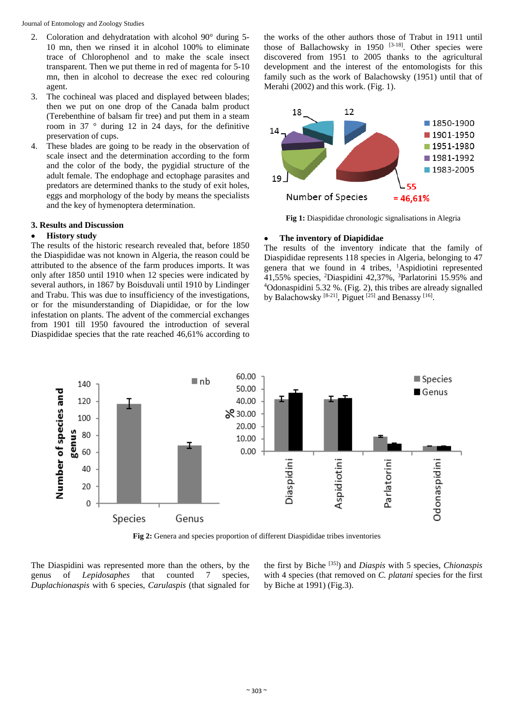Journal of Entomology and Zoology Studies

- 2. Coloration and dehydratation with alcohol 90° during 5- 10 mn, then we rinsed it in alcohol 100% to eliminate trace of Chlorophenol and to make the scale insect transparent. Then we put theme in red of magenta for 5-10 mn, then in alcohol to decrease the exec red colouring agent.
- 3. The cochineal was placed and displayed between blades; then we put on one drop of the Canada balm product (Terebenthine of balsam fir tree) and put them in a steam room in 37 ° during 12 in 24 days, for the definitive preservation of cups.
- 4. These blades are going to be ready in the observation of scale insect and the determination according to the form and the color of the body, the pygidial structure of the adult female. The endophage and ectophage parasites and predators are determined thanks to the study of exit holes, eggs and morphology of the body by means the specialists and the key of hymenoptera determination.

# **3. Results and Discussion**

# **History study**

The results of the historic research revealed that, before 1850 the Diaspididae was not known in Algeria, the reason could be attributed to the absence of the farm produces imports. It was only after 1850 until 1910 when 12 species were indicated by several authors, in 1867 by Boisduvali until 1910 by Lindinger and Trabu. This was due to insufficiency of the investigations, or for the misunderstanding of Diapididae, or for the low infestation on plants. The advent of the commercial exchanges from 1901 till 1950 favoured the introduction of several Diaspididae species that the rate reached 46,61% according to the works of the other authors those of Trabut in 1911 until those of Ballachowsky in 1950  $[3-18]$ . Other species were discovered from 1951 to 2005 thanks to the agricultural development and the interest of the entomologists for this family such as the work of Balachowsky (1951) until that of Merahi (2002) and this work. (Fig. 1).



**Fig 1:** Diaspididae chronologic signalisations in Alegria

# **The inventory of Diapididae**

The results of the inventory indicate that the family of Diaspididae represents 118 species in Algeria, belonging to 47 genera that we found in 4 tribes, 1 Aspidiotini represented 41,55% species, <sup>2</sup>Diaspidini 42,37%, <sup>3</sup>Parlatorini 15.95% and  $\frac{40}{4}$ Odonaspidini 5.32 %. (Fig. 2), this tribes are already signalled by Balachowsky  $[8-21]$ , Piguet  $[25]$  and Benassy  $[16]$ .



**Fig 2:** Genera and species proportion of different Diaspididae tribes inventories

The Diaspidini was represented more than the others, by the genus of *Lepidosaphes* that counted 7 species, *Duplachionaspis* with 6 species, *Carulaspis* (that signaled for the first by Biche [35]) and *Diaspis* with 5 species, *Chionaspis*  with 4 species (that removed on *C. platani* species for the first by Biche at 1991) (Fig.3).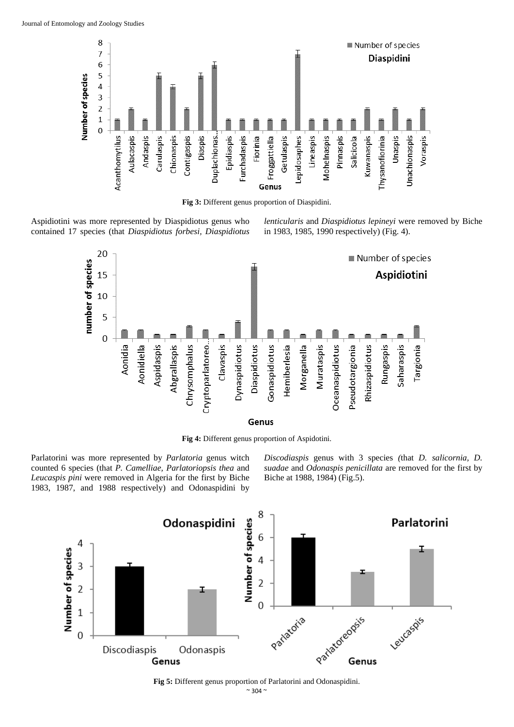

**Fig 3:** Different genus proportion of Diaspidini.

Aspidiotini was more represented by Diaspidiotus genus who contained 17 species (that *Diaspidiotus forbesi, Diaspidiotus*  *lenticularis* and *Diaspidiotus lepineyi* were removed by Biche in 1983, 1985, 1990 respectively) (Fig. 4).



**Fig 4:** Different genus proportion of Aspidotini.

Parlatorini was more represented by *Parlatoria* genus witch counted 6 species (that *P. Camelliae, Parlatoriopsis thea* and *Leucaspis pini* were removed in Algeria for the first by Biche 1983, 1987, and 1988 respectively) and Odonaspidini by *Discodiaspis* genus with 3 species *(*that *D. salicornia, D. suadae* and *Odonaspis penicillata* are removed for the first by Biche at 1988, 1984) (Fig.5).



 $~^{\sim}$  304  $~^{\sim}$ **Fig 5:** Different genus proportion of Parlatorini and Odonaspidini.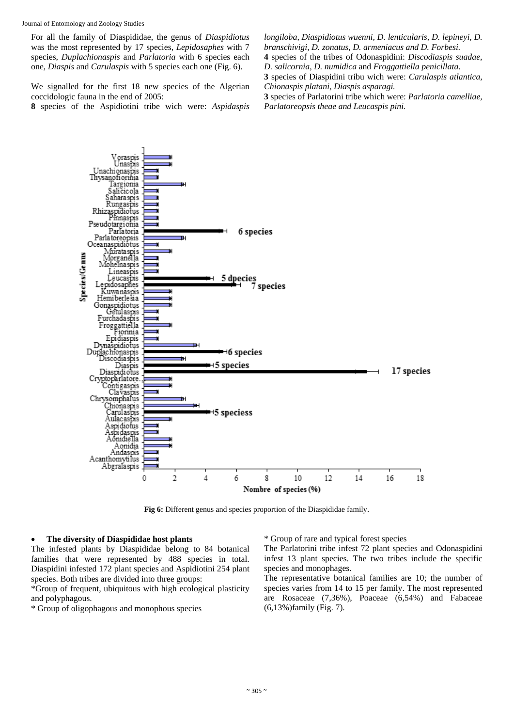For all the family of Diaspididae, the genus of *Diaspidiotus*  was the most represented by 17 species, *Lepidosaphes* with 7 species, *Duplachionaspis* and *Parlatoria* with 6 species each one, *Diaspis* and *Carulaspis* with 5 species each one (Fig. 6).

We signalled for the first 18 new species of the Algerian coccidologic fauna in the end of 2005:

**8** species of the Aspidiotini tribe wich were: *Aspidaspis* 

*longiloba, Diaspidiotus wuenni, D. lenticularis, D. lepineyi, D. branschivigi, D. zonatus, D. armeniacus and D. Forbesi.* 

**4** species of the tribes of Odonaspidini: *Discodiaspis suadae,* 

*D. salicornia, D. numidica* and *Froggattiella penicillata.*  **3** species of Diaspidini tribu wich were: *Carulaspis atlantica,* 

*Chionaspis platani, Diaspis asparagi.* 

**3** species of Parlatorini tribe which were: *Parlatoria camelliae, Parlatoreopsis theae and Leucaspis pini.* 



**Fig 6:** Different genus and species proportion of the Diaspididae family.

#### **The diversity of Diaspididae host plants**

The infested plants by Diaspididae belong to 84 botanical families that were represented by 488 species in total. Diaspidini infested 172 plant species and Aspidiotini 254 plant species. Both tribes are divided into three groups:

\*Group of frequent, ubiquitous with high ecological plasticity and polyphagous.

\* Group of oligophagous and monophous species

\* Group of rare and typical forest species

The Parlatorini tribe infest 72 plant species and Odonaspidini infest 13 plant species. The two tribes include the specific species and monophages.

The representative botanical families are 10; the number of species varies from 14 to 15 per family. The most represented are Rosaceae (7,36%), Poaceae (6,54%) and Fabaceae (6,13%)family (Fig. 7).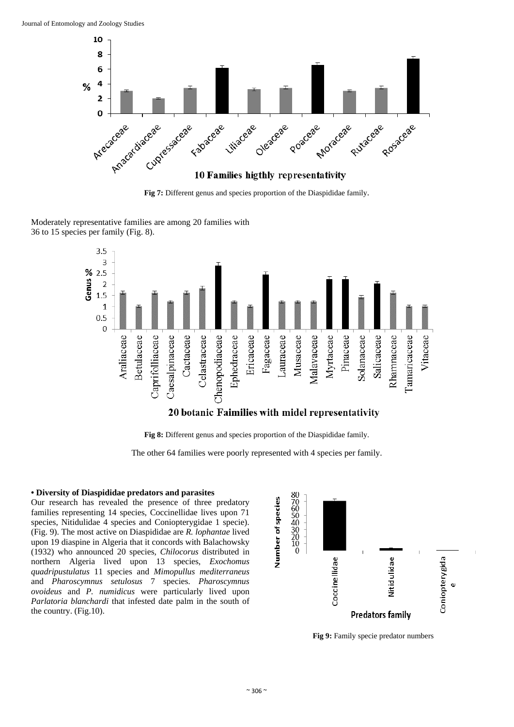



Moderately representative families are among 20 families with 36 to 15 species per family (Fig. 8).



**Fig 8:** Different genus and species proportion of the Diaspididae family.

The other 64 families were poorly represented with 4 species per family.

# **• Diversity of Diaspididae predators and parasites**

Our research has revealed the presence of three predatory families representing 14 species, Coccinellidae lives upon 71 species, Nitidulidae 4 species and Coniopterygidae 1 specie). (Fig. 9). The most active on Diaspididae are *R. lophantae* lived upon 19 diaspine in Algeria that it concords with Balachowsky (1932) who announced 20 species*, Chilocorus* distributed in northern Algeria lived upon 13 species, *Exochomus quadripustulatus* 11 species and *Mimopullus mediterraneus* and *Pharoscymnus setulosus* 7 species. *Pharoscymnus ovoideus* and *P. numidicus* were particularly lived upon *Parlatoria blanchardi* that infested date palm in the south of the country. (Fig.10).



**Fig 9:** Family specie predator numbers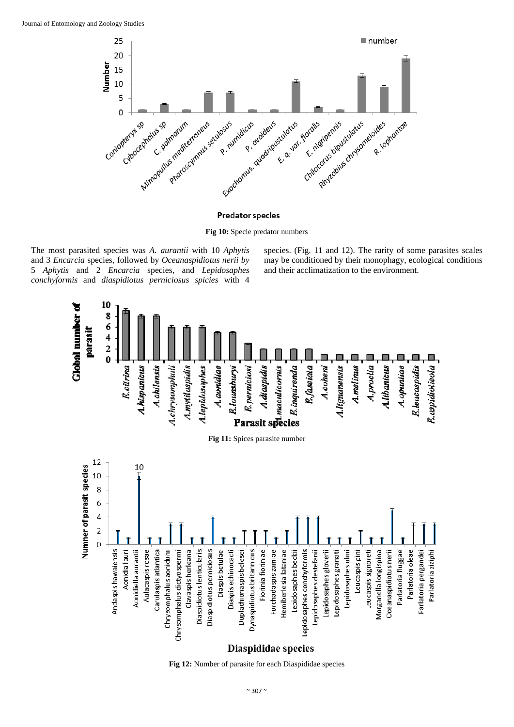

#### **Predator species**

**Fig 10:** Specie predator numbers

The most parasited species was *A. aurantii* with 10 *Aphytis* and 3 *Encarcia* species, followed by *Oceanaspidiotus nerii by* 5 *Aphytis* and 2 *Encarcia* species, and *Lepidosaphes conchyformis* and *diaspidiotus perniciosus spicies* with 4

species. (Fig. 11 and 12). The rarity of some parasites scales may be conditioned by their monophagy, ecological conditions and their acclimatization to the environment.



**Fig 12:** Number of parasite for each Diaspididae species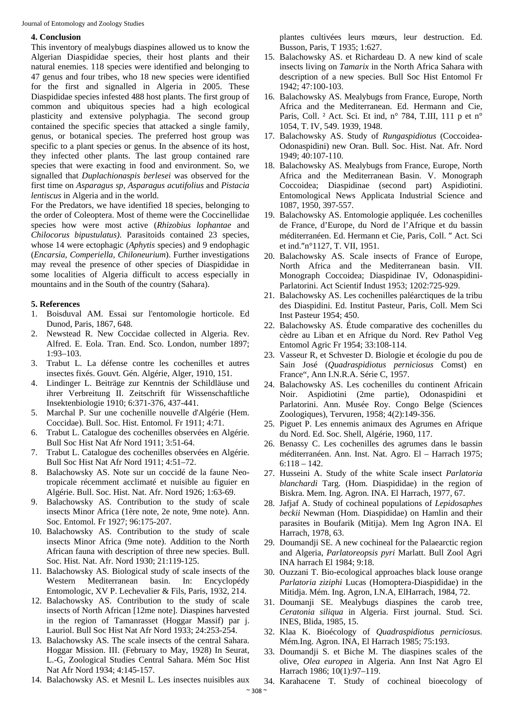## **4. Conclusion**

This inventory of mealybugs diaspines allowed us to know the Algerian Diaspididae species, their host plants and their natural enemies. 118 species were identified and belonging to 47 genus and four tribes, who 18 new species were identified for the first and signalled in Algeria in 2005. These Diaspididae species infested 488 host plants. The first group of common and ubiquitous species had a high ecological plasticity and extensive polyphagia. The second group contained the specific species that attacked a single family, genus, or botanical species. The preferred host group was specific to a plant species or genus. In the absence of its host, they infected other plants. The last group contained rare species that were exacting in food and environment. So, we signalled that *Duplachionaspis berlesei* was observed for the first time on *Asparagus sp, Asparagus acutifolius* and *Pistacia lentiscus* in Algeria and in the world.

For the Predators, we have identified 18 species, belonging to the order of Coleoptera. Most of theme were the Coccinellidae species how were most active (*Rhizobius lophantae* and *Chilocorus bipustulatus)*. Parasitoids contained 23 species, whose 14 were ectophagic (*Aphytis* species) and 9 endophagic (*Encarsia, Comperiella, Chiloneurium*). Further investigations may reveal the presence of other species of Diaspididae in some localities of Algeria difficult to access especially in mountains and in the South of the country (Sahara).

# **5. References**

- 1. Boisduval AM. Essai sur l'entomologie horticole. Ed Dunod, Paris, 1867, 648.
- Newstead R. New Coccidae collected in Algeria. Rev. Alfred. E. Eola. Tran. End. Sco. London, number 1897; 1:93–103.
- 3. Trabut L. La défense contre les cochenilles et autres insectes fixés. Gouvt. Gén. Algérie, Alger, 1910, 151.
- 4. Lindinger L. Beiträge zur Kenntnis der Schildläuse und ihrer Verbreitung II. Zeitschrift für Wissenschaftliche Insektenbiologie 1910; 6:371-376, 437-441.
- 5. Marchal P. Sur une cochenille nouvelle d'Algérie (Hem. Coccidae). Bull. Soc. Hist. Entomol. Fr 1911; 4:71.
- 6. Trabut L. Catalogue des cochenilles observées en Algérie. Bull Soc Hist Nat Afr Nord 1911; 3:51-64.
- 7. Trabut L. Catalogue des cochenilles observées en Algérie. Bull Soc Hist Nat Afr Nord 1911; 4:51–72.
- 8. Balachowsky AS. Note sur un coccidé de la faune Neotropicale récemment acclimaté et nuisible au figuier en Algérie. Bull. Soc. Hist. Nat. Afr. Nord 1926; 1:63-69.
- 9. Balachowsky AS. Contribution to the study of scale insects Minor Africa (1ère note, 2e note, 9me note). Ann. Soc. Entomol. Fr 1927; 96:175-207.
- 10. Balachowsky AS. Contribution to the study of scale insects Minor Africa (9me note). Addition to the North African fauna with description of three new species. Bull. Soc. Hist. Nat. Afr. Nord 1930; 21:119-125.
- 11. Balachowsky AS. Biological study of scale insects of the Western Mediterranean basin. In: Encyclopédy Entomologic, XV P. Lechevalier & Fils, Paris, 1932, 214.
- 12. Balachowsky AS. Contribution to the study of scale insects of North African [12me note]. Diaspines harvested in the region of Tamanrasset (Hoggar Massif) par j. Lauriol. Bull Soc Hist Nat Afr Nord 1933; 24:253-254.
- 13. Balachowsky AS. The scale insects of the central Sahara. Hoggar Mission. III. (February to May, 1928) In Seurat, L.-G, Zoological Studies Central Sahara. Mém Soc Hist Nat Afr Nord 1934; 4:145-157.
- 14. Balachowsky AS. et Mesnil L. Les insectes nuisibles aux

plantes cultivées leurs mœurs, leur destruction. Ed. Busson, Paris, T 1935; 1:627.

- 15. Balachowsky AS. et Richardeau D. A new kind of scale insects living on *Tamarix* in the North Africa Sahara with description of a new species. Bull Soc Hist Entomol Fr 1942; 47:100-103.
- 16. Balachowsky AS. Mealybugs from France, Europe, North Africa and the Mediterranean. Ed. Hermann and Cie, Paris, Coll. ² Act. Sci. Et ind, n° 784, T.III, 111 p et n° 1054, T. IV, 549. 1939, 1948.
- 17. Balachowsky AS. Study of *Rungaspidiotus* (Coccoidea-Odonaspidini) new Oran. Bull. Soc. Hist. Nat. Afr. Nord 1949; 40:107-110.
- 18. Balachowsky AS. Mealybugs from France, Europe, North Africa and the Mediterranean Basin. V. Monograph Coccoidea; Diaspidinae (second part) Aspidiotini. Entomological News Applicata Industrial Science and 1087, 1950, 397-557.
- 19. Balachowsky AS. Entomologie appliquée. Les cochenilles de France, d'Europe, du Nord de l'Afrique et du bassin méditerranéen. Ed. Hermann et Cie, Paris, Coll. " Act. Sci et ind."n°1127, T. VII, 1951.
- 20. Balachowsky AS. Scale insects of France of Europe, North Africa and the Mediterranean basin. VII. Monograph Coccoidea; Diaspidinae IV, Odonaspidini-Parlatorini. Act Scientif Indust 1953; 1202:725-929.
- 21. Balachowsky AS. Les cochenilles paléarctiques de la tribu des Diaspidini. Ed. Institut Pasteur, Paris, Coll. Mem Sci Inst Pasteur 1954; 450.
- 22. Balachowsky AS. Étude comparative des cochenilles du cèdre au Liban et en Afrique du Nord. Rev Pathol Veg Entomol Agric Fr 1954; 33:108-114.
- 23. Vasseur R, et Schvester D. Biologie et écologie du pou de Sain José (*Quadraspidiotus perniciosus* Comst) en France", Ann I.N.R.A. Série C, 1957.
- 24. Balachowsky AS. Les cochenilles du continent Africain Noir. Aspidiotini (2me partie), Odonaspidini et Parlatorini. Ann. Musée Roy. Congo Belge (Sciences Zoologiques), Tervuren, 1958; 4(2):149-356.
- 25. Piguet P. Les ennemis animaux des Agrumes en Afrique du Nord. Ed. Soc. Shell, Algérie, 1960, 117.
- 26. Benassy C. Les cochenilles des agrumes dans le bassin méditerranéen. Ann. Inst. Nat. Agro. El – Harrach 1975; 6:118 – 142.
- 27. Husseini A. Study of the white Scale insect *Parlatoria blanchardi* Targ. (Hom. Diaspididae) in the region of Biskra. Mem. Ing. Agron. INA. El Harrach, 1977, 67.
- 28. Jafjaf A. Study of cochineal populations of *Lepidosaphes beckii* Newman (Hom. Diaspididae) on Hamlin and their parasites in Boufarik (Mitija). Mem Ing Agron INA. El Harrach, 1978, 63.
- 29. Doumandji SE. A new cochineal for the Palaearctic region and Algeria, *Parlatoreopsis pyri* Marlatt. Bull Zool Agri INA harrach El 1984; 9:18.
- 30. Ouzzani T. Bio-ecological approaches black louse orange *Parlatoria ziziphi* Lucas (Homoptera-Diaspididae) in the Mitidja. Mém. Ing. Agron, I.N.A, ElHarrach, 1984, 72.
- 31. Doumanji SE. Mealybugs diaspines the carob tree, *Ceratonia siliqua* in Algeria. First journal. Stud. Sci. INES, Blida, 1985, 15.
- 32. Klaa K. Bioécology of *Quadraspidiotus perniciosus.* Mém.Ing. Agron. INA, El Harrach 1985; 75:193.
- 33. Doumandji S. et Biche M. The diaspines scales of the olive, *Olea europea* in Algeria. Ann Inst Nat Agro El Harrach 1986; 10(1):97–119.

34. Karahacene T. Study of cochineal bioecology of